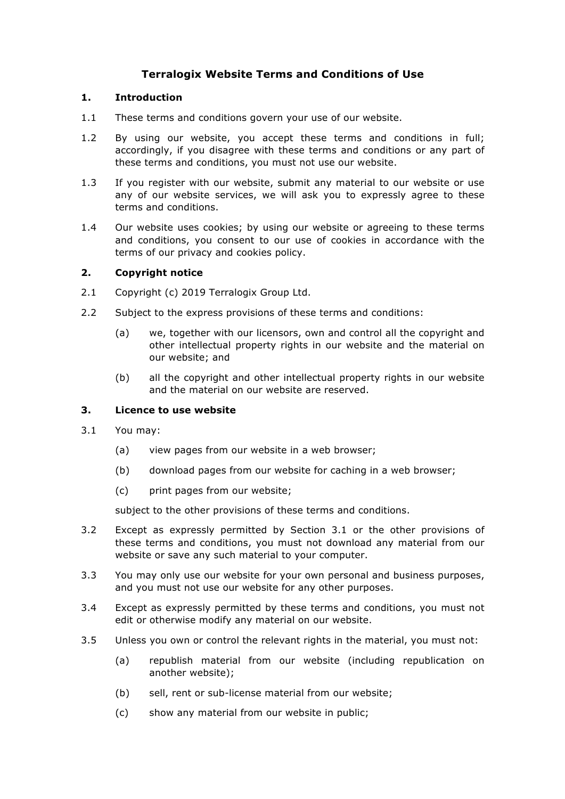# **Terralogix Website Terms and Conditions of Use**

#### **1. Introduction**

- 1.1 These terms and conditions govern your use of our website.
- 1.2 By using our website, you accept these terms and conditions in full; accordingly, if you disagree with these terms and conditions or any part of these terms and conditions, you must not use our website.
- 1.3 If you register with our website, submit any material to our website or use any of our website services, we will ask you to expressly agree to these terms and conditions.
- 1.4 Our website uses cookies; by using our website or agreeing to these terms and conditions, you consent to our use of cookies in accordance with the terms of our privacy and cookies policy.

### **2. Copyright notice**

- 2.1 Copyright (c) 2019 Terralogix Group Ltd.
- 2.2 Subject to the express provisions of these terms and conditions:
	- (a) we, together with our licensors, own and control all the copyright and other intellectual property rights in our website and the material on our website; and
	- (b) all the copyright and other intellectual property rights in our website and the material on our website are reserved.

# **3. Licence to use website**

- 3.1 You may:
	- (a) view pages from our website in a web browser;
	- (b) download pages from our website for caching in a web browser;
	- (c) print pages from our website;

subject to the other provisions of these terms and conditions.

- 3.2 Except as expressly permitted by Section 3.1 or the other provisions of these terms and conditions, you must not download any material from our website or save any such material to your computer.
- 3.3 You may only use our website for your own personal and business purposes, and you must not use our website for any other purposes.
- 3.4 Except as expressly permitted by these terms and conditions, you must not edit or otherwise modify any material on our website.
- 3.5 Unless you own or control the relevant rights in the material, you must not:
	- (a) republish material from our website (including republication on another website);
	- (b) sell, rent or sub-license material from our website;
	- (c) show any material from our website in public;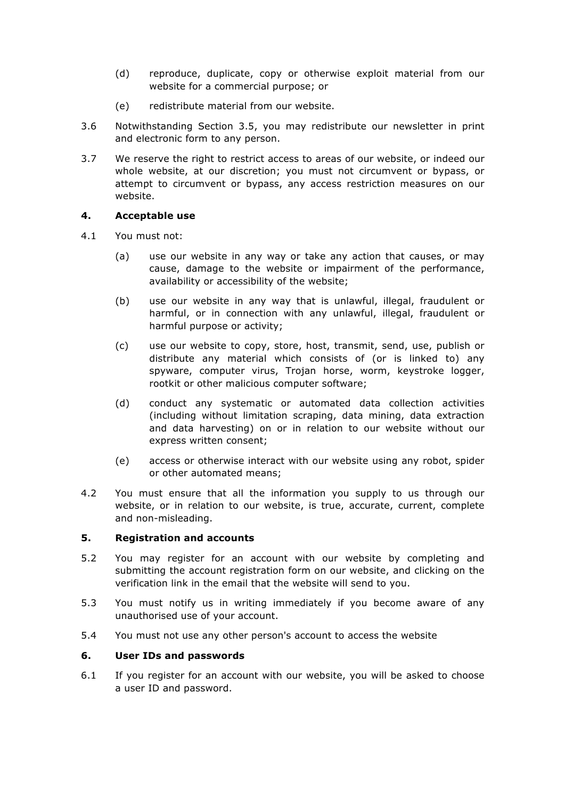- (d) reproduce, duplicate, copy or otherwise exploit material from our website for a commercial purpose; or
- (e) redistribute material from our website.
- 3.6 Notwithstanding Section 3.5, you may redistribute our newsletter in print and electronic form to any person.
- 3.7 We reserve the right to restrict access to areas of our website, or indeed our whole website, at our discretion; you must not circumvent or bypass, or attempt to circumvent or bypass, any access restriction measures on our website.

# **4. Acceptable use**

- 4.1 You must not:
	- (a) use our website in any way or take any action that causes, or may cause, damage to the website or impairment of the performance, availability or accessibility of the website;
	- (b) use our website in any way that is unlawful, illegal, fraudulent or harmful, or in connection with any unlawful, illegal, fraudulent or harmful purpose or activity;
	- (c) use our website to copy, store, host, transmit, send, use, publish or distribute any material which consists of (or is linked to) any spyware, computer virus, Trojan horse, worm, keystroke logger, rootkit or other malicious computer software;
	- (d) conduct any systematic or automated data collection activities (including without limitation scraping, data mining, data extraction and data harvesting) on or in relation to our website without our express written consent;
	- (e) access or otherwise interact with our website using any robot, spider or other automated means;
- 4.2 You must ensure that all the information you supply to us through our website, or in relation to our website, is true, accurate, current, complete and non-misleading.

# **5. Registration and accounts**

- 5.2 You may register for an account with our website by completing and submitting the account registration form on our website, and clicking on the verification link in the email that the website will send to you.
- 5.3 You must notify us in writing immediately if you become aware of any unauthorised use of your account.
- 5.4 You must not use any other person's account to access the website

# **6. User IDs and passwords**

6.1 If you register for an account with our website, you will be asked to choose a user ID and password.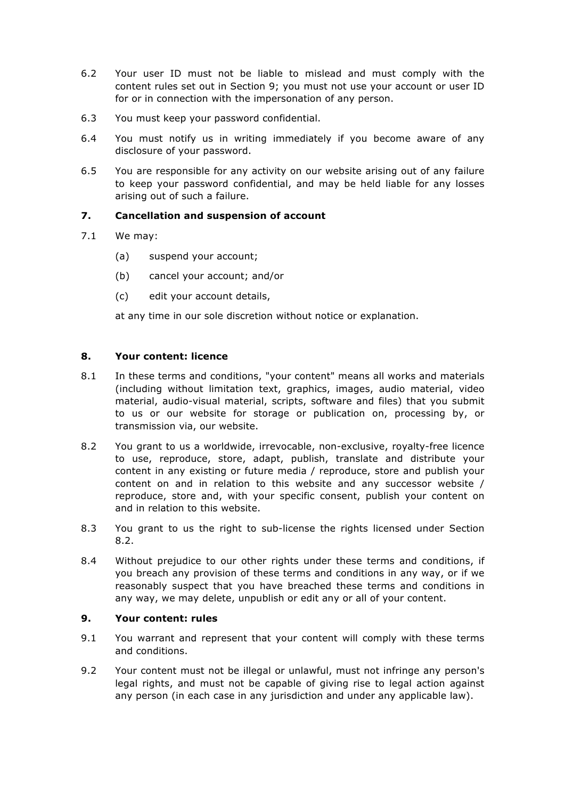- 6.2 Your user ID must not be liable to mislead and must comply with the content rules set out in Section 9; you must not use your account or user ID for or in connection with the impersonation of any person.
- 6.3 You must keep your password confidential.
- 6.4 You must notify us in writing immediately if you become aware of any disclosure of your password.
- 6.5 You are responsible for any activity on our website arising out of any failure to keep your password confidential, and may be held liable for any losses arising out of such a failure.

# **7. Cancellation and suspension of account**

- 7.1 We may:
	- (a) suspend your account;
	- (b) cancel your account; and/or
	- (c) edit your account details,

at any time in our sole discretion without notice or explanation.

### **8. Your content: licence**

- 8.1 In these terms and conditions, "your content" means all works and materials (including without limitation text, graphics, images, audio material, video material, audio-visual material, scripts, software and files) that you submit to us or our website for storage or publication on, processing by, or transmission via, our website.
- 8.2 You grant to us a worldwide, irrevocable, non-exclusive, royalty-free licence to use, reproduce, store, adapt, publish, translate and distribute your content in any existing or future media / reproduce, store and publish your content on and in relation to this website and any successor website / reproduce, store and, with your specific consent, publish your content on and in relation to this website.
- 8.3 You grant to us the right to sub-license the rights licensed under Section 8.2.
- 8.4 Without prejudice to our other rights under these terms and conditions, if you breach any provision of these terms and conditions in any way, or if we reasonably suspect that you have breached these terms and conditions in any way, we may delete, unpublish or edit any or all of your content.

### **9. Your content: rules**

- 9.1 You warrant and represent that your content will comply with these terms and conditions.
- 9.2 Your content must not be illegal or unlawful, must not infringe any person's legal rights, and must not be capable of giving rise to legal action against any person (in each case in any jurisdiction and under any applicable law).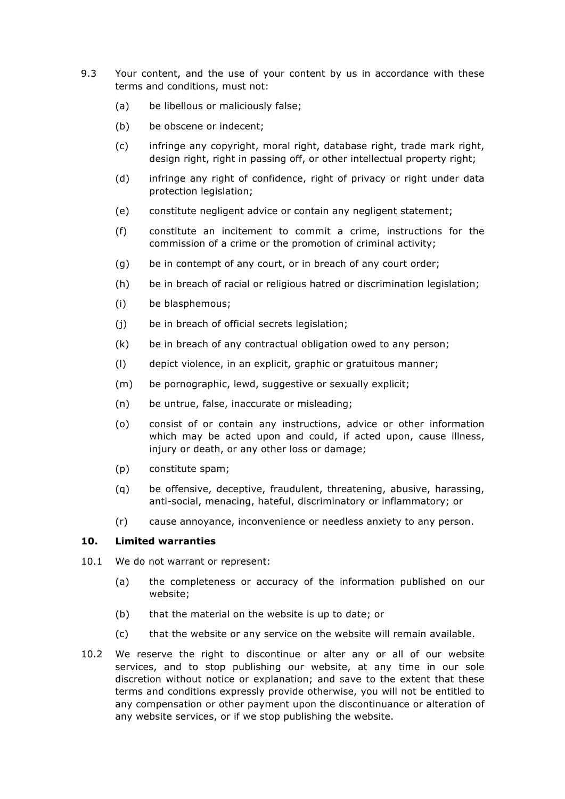- 9.3 Your content, and the use of your content by us in accordance with these terms and conditions, must not:
	- (a) be libellous or maliciously false;
	- (b) be obscene or indecent;
	- (c) infringe any copyright, moral right, database right, trade mark right, design right, right in passing off, or other intellectual property right;
	- (d) infringe any right of confidence, right of privacy or right under data protection legislation;
	- (e) constitute negligent advice or contain any negligent statement;
	- (f) constitute an incitement to commit a crime, instructions for the commission of a crime or the promotion of criminal activity;
	- (g) be in contempt of any court, or in breach of any court order;
	- (h) be in breach of racial or religious hatred or discrimination legislation;
	- (i) be blasphemous;
	- (j) be in breach of official secrets legislation;
	- (k) be in breach of any contractual obligation owed to any person;
	- (l) depict violence, in an explicit, graphic or gratuitous manner;
	- (m) be pornographic, lewd, suggestive or sexually explicit;
	- (n) be untrue, false, inaccurate or misleading;
	- (o) consist of or contain any instructions, advice or other information which may be acted upon and could, if acted upon, cause illness, injury or death, or any other loss or damage;
	- (p) constitute spam;
	- (q) be offensive, deceptive, fraudulent, threatening, abusive, harassing, anti-social, menacing, hateful, discriminatory or inflammatory; or
	- (r) cause annoyance, inconvenience or needless anxiety to any person.

#### **10. Limited warranties**

- 10.1 We do not warrant or represent:
	- (a) the completeness or accuracy of the information published on our website;
	- (b) that the material on the website is up to date; or
	- (c) that the website or any service on the website will remain available.
- 10.2 We reserve the right to discontinue or alter any or all of our website services, and to stop publishing our website, at any time in our sole discretion without notice or explanation; and save to the extent that these terms and conditions expressly provide otherwise, you will not be entitled to any compensation or other payment upon the discontinuance or alteration of any website services, or if we stop publishing the website.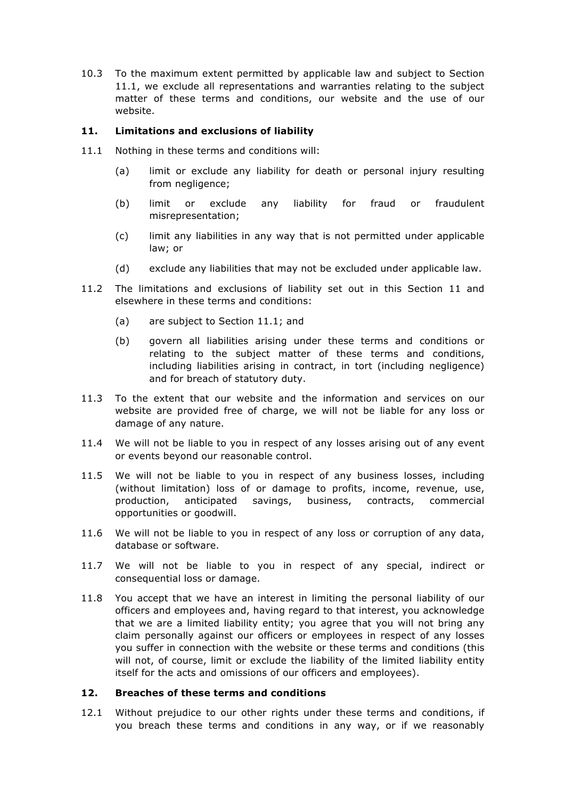10.3 To the maximum extent permitted by applicable law and subject to Section 11.1, we exclude all representations and warranties relating to the subject matter of these terms and conditions, our website and the use of our website.

### **11. Limitations and exclusions of liability**

- 11.1 Nothing in these terms and conditions will:
	- (a) limit or exclude any liability for death or personal injury resulting from negligence;
	- (b) limit or exclude any liability for fraud or fraudulent misrepresentation;
	- (c) limit any liabilities in any way that is not permitted under applicable law; or
	- (d) exclude any liabilities that may not be excluded under applicable law.
- 11.2 The limitations and exclusions of liability set out in this Section 11 and elsewhere in these terms and conditions:
	- (a) are subject to Section 11.1; and
	- (b) govern all liabilities arising under these terms and conditions or relating to the subject matter of these terms and conditions, including liabilities arising in contract, in tort (including negligence) and for breach of statutory duty.
- 11.3 To the extent that our website and the information and services on our website are provided free of charge, we will not be liable for any loss or damage of any nature.
- 11.4 We will not be liable to you in respect of any losses arising out of any event or events beyond our reasonable control.
- 11.5 We will not be liable to you in respect of any business losses, including (without limitation) loss of or damage to profits, income, revenue, use, production, anticipated savings, business, contracts, commercial opportunities or goodwill.
- 11.6 We will not be liable to you in respect of any loss or corruption of any data, database or software.
- 11.7 We will not be liable to you in respect of any special, indirect or consequential loss or damage.
- 11.8 You accept that we have an interest in limiting the personal liability of our officers and employees and, having regard to that interest, you acknowledge that we are a limited liability entity; you agree that you will not bring any claim personally against our officers or employees in respect of any losses you suffer in connection with the website or these terms and conditions (this will not, of course, limit or exclude the liability of the limited liability entity itself for the acts and omissions of our officers and employees).

### **12. Breaches of these terms and conditions**

12.1 Without prejudice to our other rights under these terms and conditions, if you breach these terms and conditions in any way, or if we reasonably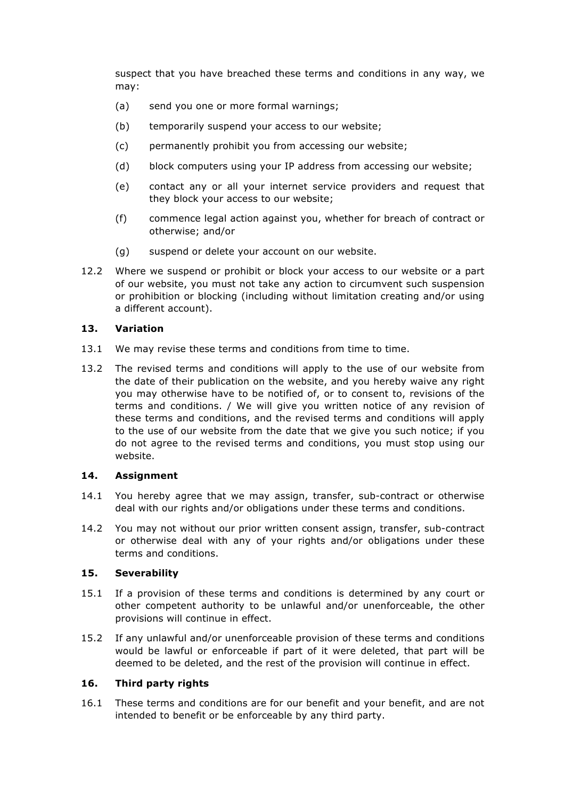suspect that you have breached these terms and conditions in any way, we may:

- (a) send you one or more formal warnings;
- (b) temporarily suspend your access to our website;
- (c) permanently prohibit you from accessing our website;
- (d) block computers using your IP address from accessing our website;
- (e) contact any or all your internet service providers and request that they block your access to our website;
- (f) commence legal action against you, whether for breach of contract or otherwise; and/or
- (g) suspend or delete your account on our website.
- 12.2 Where we suspend or prohibit or block your access to our website or a part of our website, you must not take any action to circumvent such suspension or prohibition or blocking (including without limitation creating and/or using a different account).

#### **13. Variation**

- 13.1 We may revise these terms and conditions from time to time.
- 13.2 The revised terms and conditions will apply to the use of our website from the date of their publication on the website, and you hereby waive any right you may otherwise have to be notified of, or to consent to, revisions of the terms and conditions. / We will give you written notice of any revision of these terms and conditions, and the revised terms and conditions will apply to the use of our website from the date that we give you such notice; if you do not agree to the revised terms and conditions, you must stop using our website.

#### **14. Assignment**

- 14.1 You hereby agree that we may assign, transfer, sub-contract or otherwise deal with our rights and/or obligations under these terms and conditions.
- 14.2 You may not without our prior written consent assign, transfer, sub-contract or otherwise deal with any of your rights and/or obligations under these terms and conditions.

# **15. Severability**

- 15.1 If a provision of these terms and conditions is determined by any court or other competent authority to be unlawful and/or unenforceable, the other provisions will continue in effect.
- 15.2 If any unlawful and/or unenforceable provision of these terms and conditions would be lawful or enforceable if part of it were deleted, that part will be deemed to be deleted, and the rest of the provision will continue in effect.

# **16. Third party rights**

16.1 These terms and conditions are for our benefit and your benefit, and are not intended to benefit or be enforceable by any third party.